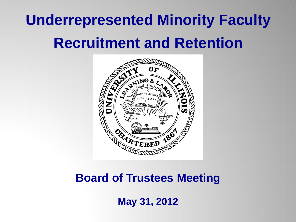# **Underrepresented Minority Faculty Recruitment and Retention**



#### **Board of Trustees Meeting**

**May 31, 2012**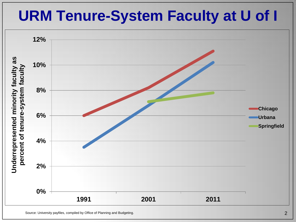## **URM Tenure-System Faculty at U of I**

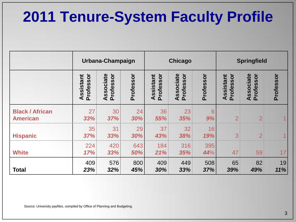## **2011 Tenure-System Faculty Profile**

|                                           | Urbana-Champaign              |                        |            | <b>Chicago</b>         |                        |            | <b>Springfield</b>     |                        |                 |
|-------------------------------------------|-------------------------------|------------------------|------------|------------------------|------------------------|------------|------------------------|------------------------|-----------------|
|                                           | <b>Assistant</b><br>Professor | Associate<br>Professor | Professor  | Professor<br>Assistant | Associate<br>Professor | Professor  | Assistant<br>Professor | Associate<br>Professor | Professor       |
| <b>Black / African</b><br><b>American</b> | 27<br>33%                     | 30<br>37%              | 24<br>30%  | 36<br>55%              | 23<br>35%              | 6<br>9%    | $\overline{2}$         | $\overline{2}$         |                 |
| <b>Hispanic</b>                           | 35<br>37%                     | 31<br>33%              | 29<br>30%  | 37<br>43%              | 32<br>38%              | 16<br>19%  | 3                      | $\overline{2}$         |                 |
| <b>White</b>                              | 224<br>17%                    | 420<br>33%             | 643<br>50% | 184<br>21%             | 316<br>35%             | 395<br>44% | 47                     | 59                     | 17 <sub>1</sub> |
| <b>Total</b>                              | 409<br>23%                    | 576<br>32%             | 800<br>45% | 409<br>30%             | 449<br>33%             | 508<br>37% | 65<br>39%              | 82<br>49%              | 19<br>11%       |

Source: University payfiles, compiled by Office of Planning and Budgeting.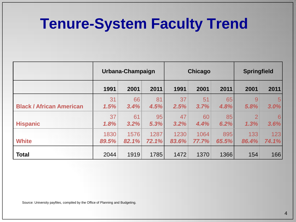### **Tenure-System Faculty Trend**

|                                 | Urbana-Champaign |       |       | <b>Chicago</b> |       |       | <b>Springfield</b> |                |  |
|---------------------------------|------------------|-------|-------|----------------|-------|-------|--------------------|----------------|--|
|                                 | 1991             | 2001  | 2011  | 1991           | 2001  | 2011  | 2001               | 2011           |  |
| <b>Black / African American</b> | 31               | 66    | 81    | 37             | 51    | 65    | 9                  | 5 <sup>1</sup> |  |
|                                 | 1.5%             | 3.4%  | 4.5%  | 2.5%           | 3.7%  | 4.8%  | 5.8%               | 3.0%           |  |
| <b>Hispanic</b>                 | 37               | 61    | 95    | 47             | 60    | 85    | $\overline{2}$     | $6^{\circ}$    |  |
|                                 | 1.8%             | 3.2%  | 5.3%  | 3.2%           | 4.4%  | 6.2%  | 1.3%               | 3.6%           |  |
| <b>White</b>                    | 1830             | 1576  | 1287  | 1230           | 1064  | 895   | 133                | 123            |  |
|                                 | 89.5%            | 82.1% | 72.1% | 83.6%          | 77.7% | 65.5% | 86.4%              | 74.1%          |  |
| <b>Total</b>                    | 2044             | 1919  | 1785  | 1472           | 1370  | 1366  | 154                | 166            |  |

Source: University payfiles, compiled by the Office of Planning and Budgeting.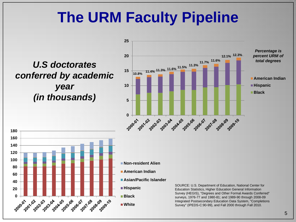### **The URM Faculty Pipeline**

*U.S doctorates conferred by academic year (in thousands)*





SOURCE: U.S. Department of Education, National Center for Education Statistics, Higher Education General Information Survey (HEGIS), "Degrees and Other Formal Awards Conferred" surveys, 1976-77 and 1980-81; and 1989-90 through 2008-09 Integrated Postsecondary Education Data System, "Completions Survey" (IPEDS-C:90-99), and Fall 2000 through Fall 2010.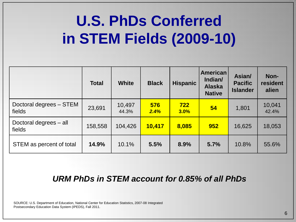## **U.S. PhDs Conferred in STEM Fields (2009-10)**

|                                   | <b>Total</b> | <b>White</b>    | <b>Black</b> | <b>Hispanic</b> | <b>American</b><br>Indian/<br><b>Alaska</b><br><b>Native</b> | Asian/<br><b>Pacific</b><br><b>Islander</b> | Non-<br>resident<br>alien |
|-----------------------------------|--------------|-----------------|--------------|-----------------|--------------------------------------------------------------|---------------------------------------------|---------------------------|
| Doctoral degrees - STEM<br>fields | 23,691       | 10,497<br>44.3% | 576<br>2.4%  | 722<br>3.0%     | 54                                                           | 1,801                                       | 10,041<br>42.4%           |
| Doctoral degrees - all<br>fields  | 158,558      | 104,426         | 10,417       | 8,085           | 952                                                          | 16,625                                      | 18,053                    |
| STEM as percent of total          | 14.9%        | 10.1%           | 5.5%         | 8.9%            | 5.7%                                                         | 10.8%                                       | 55.6%                     |

#### *URM PhDs in STEM account for 0.85% of all PhDs*

SOURCE: U.S. Department of Education, National Center for Education Statistics, 2007-08 Integrated Postsecondary Education Data System (IPEDS), Fall 2011.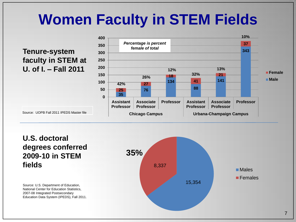## **Women Faculty in STEM Fields**

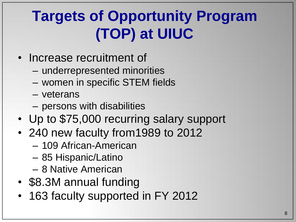## **Targets of Opportunity Program (TOP) at UIUC**

- Increase recruitment of
	- underrepresented minorities
	- women in specific STEM fields
	- veterans
	- persons with disabilities
- Up to \$75,000 recurring salary support
- 240 new faculty from1989 to 2012
	- 109 African-American
	- 85 Hispanic/Latino
	- 8 Native American
- \$8.3M annual funding
- 163 faculty supported in FY 2012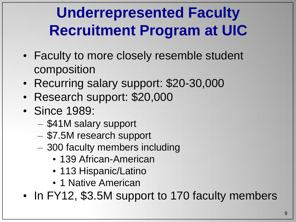## **Underrepresented Faculty Recruitment Program at UIC**

- Faculty to more closely resemble student composition
- Recurring salary support: \$20-30,000
- Research support: \$20,000
- Since 1989:
	- \$41M salary support
	- \$7.5M research support
	- 300 faculty members including
		- 139 African-American
		- 113 Hispanic/Latino
		- 1 Native American

• In FY12, \$3.5M support to 170 faculty members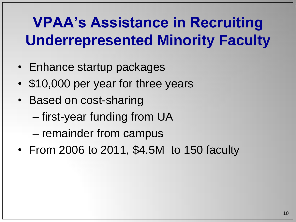## **VPAA's Assistance in Recruiting Underrepresented Minority Faculty**

- Enhance startup packages
- \$10,000 per year for three years
- Based on cost-sharing
	- first-year funding from UA
	- remainder from campus
- From 2006 to 2011, \$4.5M to 150 faculty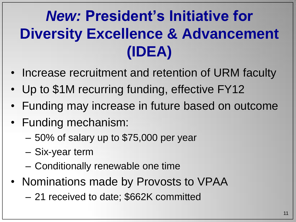## *New:* **President's Initiative for Diversity Excellence & Advancement (IDEA)**

- Increase recruitment and retention of URM faculty
- Up to \$1M recurring funding, effective FY12
- Funding may increase in future based on outcome
- Funding mechanism:
	- 50% of salary up to \$75,000 per year
	- Six-year term
	- Conditionally renewable one time
- Nominations made by Provosts to VPAA
	- 21 received to date; \$662K committed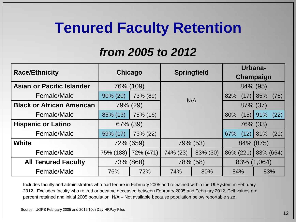#### **Tenured Faculty Retention**

#### *from 2005 to 2012*

| <b>Race/Ethnicity</b>            | Chicago              |           | <b>Springfield</b> |          | Urbana-     |             |  |
|----------------------------------|----------------------|-----------|--------------------|----------|-------------|-------------|--|
|                                  |                      |           |                    |          | Champaign   |             |  |
| <b>Asian or Pacific Islander</b> | 76% (109)            |           |                    |          | 84% (95)    |             |  |
| Female/Male                      | 90% (20)<br>73% (89) |           | N/A                |          | 82%<br>(17) | 85%<br>(78) |  |
| <b>Black or African American</b> | 79% (29)             |           |                    |          | 87% (37)    |             |  |
| Female/Male                      | 85% (13)<br>75% (16) |           |                    |          | 80%<br>(15) | 91%<br>(22) |  |
| <b>Hispanic or Latino</b>        | 67% (39)             |           |                    |          | 76% (33)    |             |  |
| Female/Male                      | 59% (17)             | 73% (22)  |                    |          | (12)<br>67% | 81%<br>(21) |  |
| <b>White</b>                     | 72% (659)            |           |                    | 79% (53) | 84% (875)   |             |  |
| Female/Male                      | 75% (188)            | 72% (471) | 74% (23)           | 83% (30) | 86% (221)   | 83% (654)   |  |
| <b>All Tenured Faculty</b>       | 73% (868)            |           | 78% (58)           |          | 83% (1,064) |             |  |
| Female/Male                      | 76%                  | 72%       |                    | 80%      | 84%         | 83%         |  |

Includes faculty and administrators who had tenure in February 2005 and remained within the UI System in February 2012. Excludes faculty who retired or became deceased between February 2005 and February 2012. Cell values are percent retained and initial 2005 population. N/A – Not available because population below reportable size.

Source: UOPB February 2005 and 2012 10th Day HRPay Files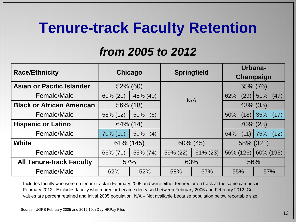#### **Tenure-track Faculty Retention**

#### *from 2005 to 2012*

| <b>Race/Ethnicity</b>            | Chicago              |            | <b>Springfield</b> |             | Urbana-     |             |  |
|----------------------------------|----------------------|------------|--------------------|-------------|-------------|-------------|--|
|                                  |                      |            |                    |             | Champaign   |             |  |
| <b>Asian or Pacific Islander</b> | 52% (60)             |            |                    |             | 55% (76)    |             |  |
| Female/Male                      | 60% (20)<br>48% (40) |            | N/A                |             | 62%<br>(29) | 51%<br>(47) |  |
| <b>Black or African American</b> | 56% (18)             |            |                    |             | 43% (35)    |             |  |
| Female/Male                      | 58% (12)             | (6)<br>50% |                    |             | (18)<br>50% | 35%<br>(17) |  |
| <b>Hispanic or Latino</b>        | 64% (14)             |            |                    |             | 70% (23)    |             |  |
| Female/Male                      | 70% (10)             | (4)<br>50% |                    |             | 64%<br>(11) | 75%<br>(12) |  |
| <b>White</b>                     | 61% (145)            |            |                    | 60% (45)    |             | 58% (321)   |  |
| Female/Male                      | 66% (71)             | 55% (74)   | 59% (22)           | $61\% (23)$ | 56% (126)   | 60% (195)   |  |
| <b>All Tenure-track Faculty</b>  | 57%                  |            | 63%                |             | 56%         |             |  |
| Female/Male                      | 62%<br>52%           |            | 58%                | 67%         | 55%         | 57%         |  |

Includes faculty who were on tenure track in February 2005 and were either tenured or on track at the same campus in February 2012. Excludes faculty who retired or became deceased between February 2005 and February 2012. Cell values are percent retained and initial 2005 population. N/A – Not available because population below reportable size.

Source: UOPB February 2005 and 2012 10th Day HRPay Files